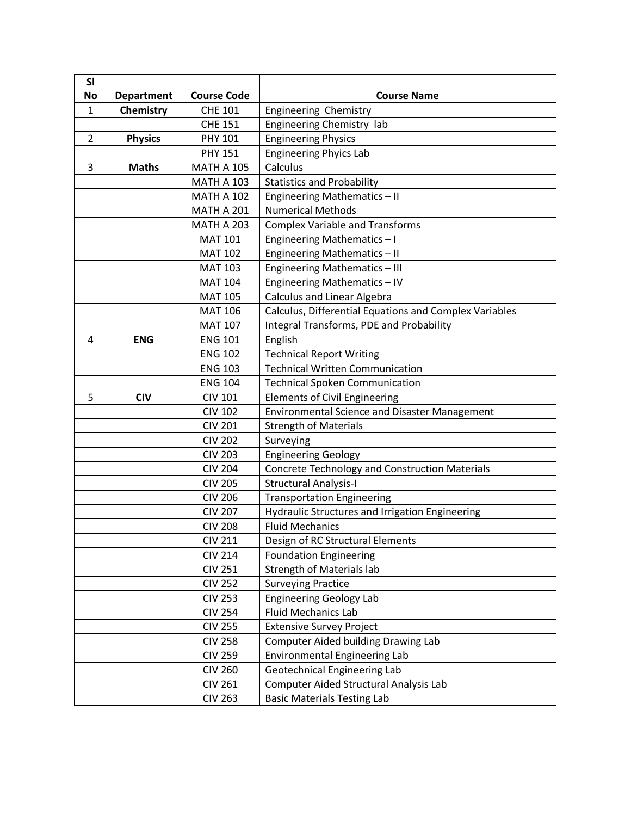| <b>SI</b>      |                   |                    |                                                        |
|----------------|-------------------|--------------------|--------------------------------------------------------|
| No             | <b>Department</b> | <b>Course Code</b> | <b>Course Name</b>                                     |
| $\mathbf{1}$   | Chemistry         | <b>CHE 101</b>     | Engineering Chemistry                                  |
|                |                   | <b>CHE 151</b>     | Engineering Chemistry lab                              |
| $\overline{2}$ | <b>Physics</b>    | <b>PHY 101</b>     | <b>Engineering Physics</b>                             |
|                |                   | <b>PHY 151</b>     | <b>Engineering Phyics Lab</b>                          |
| 3              | <b>Maths</b>      | <b>MATH A 105</b>  | Calculus                                               |
|                |                   | <b>MATH A 103</b>  | <b>Statistics and Probability</b>                      |
|                |                   | <b>MATH A 102</b>  | Engineering Mathematics - II                           |
|                |                   | <b>MATH A 201</b>  | <b>Numerical Methods</b>                               |
|                |                   | <b>MATH A 203</b>  | <b>Complex Variable and Transforms</b>                 |
|                |                   | <b>MAT 101</b>     | Engineering Mathematics - I                            |
|                |                   | <b>MAT 102</b>     | Engineering Mathematics - II                           |
|                |                   | <b>MAT 103</b>     | Engineering Mathematics - III                          |
|                |                   | <b>MAT 104</b>     | Engineering Mathematics - IV                           |
|                |                   | <b>MAT 105</b>     | <b>Calculus and Linear Algebra</b>                     |
|                |                   | <b>MAT 106</b>     | Calculus, Differential Equations and Complex Variables |
|                |                   | <b>MAT 107</b>     | <b>Integral Transforms, PDE and Probability</b>        |
| 4              | <b>ENG</b>        | <b>ENG 101</b>     | English                                                |
|                |                   | <b>ENG 102</b>     | <b>Technical Report Writing</b>                        |
|                |                   | <b>ENG 103</b>     | <b>Technical Written Communication</b>                 |
|                |                   | <b>ENG 104</b>     | <b>Technical Spoken Communication</b>                  |
| 5              | <b>CIV</b>        | <b>CIV 101</b>     | <b>Elements of Civil Engineering</b>                   |
|                |                   | <b>CIV 102</b>     | <b>Environmental Science and Disaster Management</b>   |
|                |                   | <b>CIV 201</b>     | <b>Strength of Materials</b>                           |
|                |                   | <b>CIV 202</b>     | Surveying                                              |
|                |                   | <b>CIV 203</b>     | <b>Engineering Geology</b>                             |
|                |                   | <b>CIV 204</b>     | <b>Concrete Technology and Construction Materials</b>  |
|                |                   | <b>CIV 205</b>     | <b>Structural Analysis-I</b>                           |
|                |                   | <b>CIV 206</b>     | <b>Transportation Engineering</b>                      |
|                |                   | <b>CIV 207</b>     | Hydraulic Structures and Irrigation Engineering        |
|                |                   | <b>CIV 208</b>     | <b>Fluid Mechanics</b>                                 |
|                |                   | <b>CIV 211</b>     | Design of RC Structural Elements                       |
|                |                   | <b>CIV 214</b>     | <b>Foundation Engineering</b>                          |
|                |                   | <b>CIV 251</b>     | <b>Strength of Materials lab</b>                       |
|                |                   | <b>CIV 252</b>     | <b>Surveying Practice</b>                              |
|                |                   | <b>CIV 253</b>     | <b>Engineering Geology Lab</b>                         |
|                |                   | <b>CIV 254</b>     | <b>Fluid Mechanics Lab</b>                             |
|                |                   | <b>CIV 255</b>     | <b>Extensive Survey Project</b>                        |
|                |                   | <b>CIV 258</b>     | <b>Computer Aided building Drawing Lab</b>             |
|                |                   | <b>CIV 259</b>     | <b>Environmental Engineering Lab</b>                   |
|                |                   | <b>CIV 260</b>     | Geotechnical Engineering Lab                           |
|                |                   | <b>CIV 261</b>     | Computer Aided Structural Analysis Lab                 |
|                |                   | <b>CIV 263</b>     | <b>Basic Materials Testing Lab</b>                     |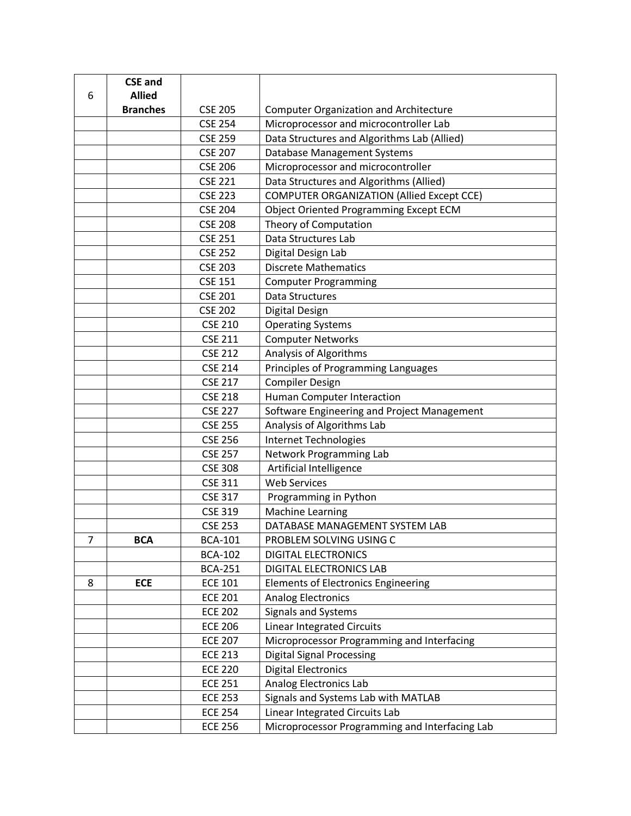|   | <b>CSE and</b>  |                |                                                  |
|---|-----------------|----------------|--------------------------------------------------|
| 6 | <b>Allied</b>   |                |                                                  |
|   | <b>Branches</b> | <b>CSE 205</b> | <b>Computer Organization and Architecture</b>    |
|   |                 | <b>CSE 254</b> | Microprocessor and microcontroller Lab           |
|   |                 | <b>CSE 259</b> | Data Structures and Algorithms Lab (Allied)      |
|   |                 | <b>CSE 207</b> | Database Management Systems                      |
|   |                 | <b>CSE 206</b> | Microprocessor and microcontroller               |
|   |                 | <b>CSE 221</b> | Data Structures and Algorithms (Allied)          |
|   |                 | <b>CSE 223</b> | <b>COMPUTER ORGANIZATION (Allied Except CCE)</b> |
|   |                 | <b>CSE 204</b> | <b>Object Oriented Programming Except ECM</b>    |
|   |                 | <b>CSE 208</b> | Theory of Computation                            |
|   |                 | <b>CSE 251</b> | Data Structures Lab                              |
|   |                 | <b>CSE 252</b> | Digital Design Lab                               |
|   |                 | <b>CSE 203</b> | <b>Discrete Mathematics</b>                      |
|   |                 | <b>CSE 151</b> | <b>Computer Programming</b>                      |
|   |                 | <b>CSE 201</b> | Data Structures                                  |
|   |                 | <b>CSE 202</b> | Digital Design                                   |
|   |                 | <b>CSE 210</b> | <b>Operating Systems</b>                         |
|   |                 | <b>CSE 211</b> | <b>Computer Networks</b>                         |
|   |                 | <b>CSE 212</b> | Analysis of Algorithms                           |
|   |                 | <b>CSE 214</b> | Principles of Programming Languages              |
|   |                 | <b>CSE 217</b> | <b>Compiler Design</b>                           |
|   |                 | <b>CSE 218</b> | <b>Human Computer Interaction</b>                |
|   |                 | <b>CSE 227</b> | Software Engineering and Project Management      |
|   |                 | <b>CSE 255</b> | Analysis of Algorithms Lab                       |
|   |                 | <b>CSE 256</b> | Internet Technologies                            |
|   |                 | <b>CSE 257</b> | Network Programming Lab                          |
|   |                 | <b>CSE 308</b> | Artificial Intelligence                          |
|   |                 | <b>CSE 311</b> | <b>Web Services</b>                              |
|   |                 | <b>CSE 317</b> | Programming in Python                            |
|   |                 | <b>CSE 319</b> | <b>Machine Learning</b>                          |
|   |                 | <b>CSE 253</b> | DATABASE MANAGEMENT SYSTEM LAB                   |
| 7 | <b>BCA</b>      | <b>BCA-101</b> | PROBLEM SOLVING USING C                          |
|   |                 | <b>BCA-102</b> | <b>DIGITAL ELECTRONICS</b>                       |
|   |                 | <b>BCA-251</b> | <b>DIGITAL ELECTRONICS LAB</b>                   |
| 8 | <b>ECE</b>      | <b>ECE 101</b> | <b>Elements of Electronics Engineering</b>       |
|   |                 | <b>ECE 201</b> | <b>Analog Electronics</b>                        |
|   |                 | <b>ECE 202</b> | <b>Signals and Systems</b>                       |
|   |                 | <b>ECE 206</b> | <b>Linear Integrated Circuits</b>                |
|   |                 | <b>ECE 207</b> | Microprocessor Programming and Interfacing       |
|   |                 | <b>ECE 213</b> | <b>Digital Signal Processing</b>                 |
|   |                 | <b>ECE 220</b> | <b>Digital Electronics</b>                       |
|   |                 | <b>ECE 251</b> | Analog Electronics Lab                           |
|   |                 | <b>ECE 253</b> | Signals and Systems Lab with MATLAB              |
|   |                 | <b>ECE 254</b> | Linear Integrated Circuits Lab                   |
|   |                 | <b>ECE 256</b> | Microprocessor Programming and Interfacing Lab   |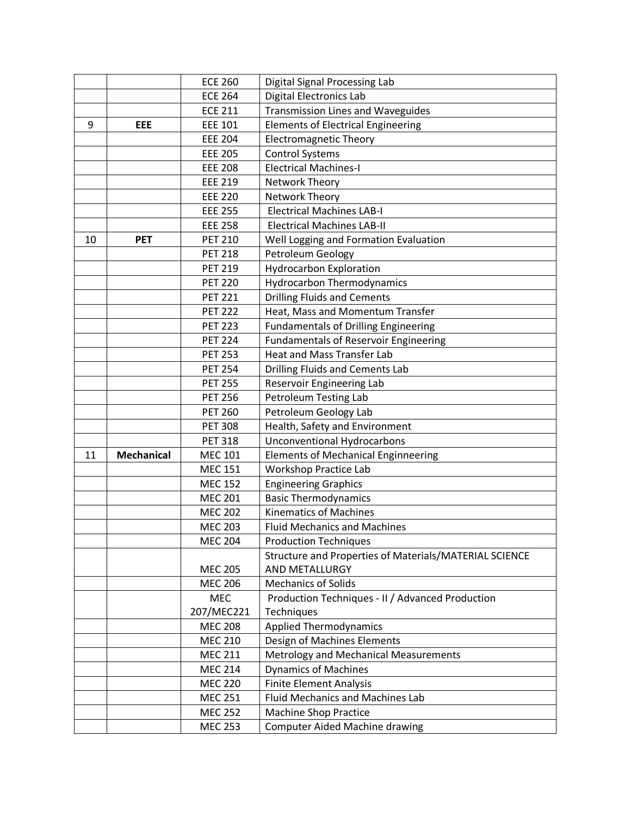|    |                   | <b>ECE 260</b> | Digital Signal Processing Lab                          |
|----|-------------------|----------------|--------------------------------------------------------|
|    |                   | <b>ECE 264</b> | <b>Digital Electronics Lab</b>                         |
|    |                   | <b>ECE 211</b> | <b>Transmission Lines and Waveguides</b>               |
| 9  | EEE               | <b>EEE 101</b> | <b>Elements of Electrical Engineering</b>              |
|    |                   | <b>EEE 204</b> | <b>Electromagnetic Theory</b>                          |
|    |                   | <b>EEE 205</b> | <b>Control Systems</b>                                 |
|    |                   | <b>EEE 208</b> | <b>Electrical Machines-I</b>                           |
|    |                   | <b>EEE 219</b> | Network Theory                                         |
|    |                   | <b>EEE 220</b> | Network Theory                                         |
|    |                   | <b>EEE 255</b> | <b>Electrical Machines LAB-I</b>                       |
|    |                   | <b>EEE 258</b> | <b>Electrical Machines LAB-II</b>                      |
| 10 | <b>PET</b>        | <b>PET 210</b> | Well Logging and Formation Evaluation                  |
|    |                   | <b>PET 218</b> | Petroleum Geology                                      |
|    |                   | <b>PET 219</b> | <b>Hydrocarbon Exploration</b>                         |
|    |                   | <b>PET 220</b> | <b>Hydrocarbon Thermodynamics</b>                      |
|    |                   | <b>PET 221</b> | <b>Drilling Fluids and Cements</b>                     |
|    |                   | <b>PET 222</b> | Heat, Mass and Momentum Transfer                       |
|    |                   | <b>PET 223</b> | <b>Fundamentals of Drilling Engineering</b>            |
|    |                   | <b>PET 224</b> | <b>Fundamentals of Reservoir Engineering</b>           |
|    |                   | <b>PET 253</b> | <b>Heat and Mass Transfer Lab</b>                      |
|    |                   | <b>PET 254</b> | <b>Drilling Fluids and Cements Lab</b>                 |
|    |                   | <b>PET 255</b> | Reservoir Engineering Lab                              |
|    |                   | <b>PET 256</b> | Petroleum Testing Lab                                  |
|    |                   | <b>PET 260</b> | Petroleum Geology Lab                                  |
|    |                   | <b>PET 308</b> | Health, Safety and Environment                         |
|    |                   | <b>PET 318</b> | <b>Unconventional Hydrocarbons</b>                     |
| 11 | <b>Mechanical</b> | <b>MEC 101</b> | <b>Elements of Mechanical Enginneering</b>             |
|    |                   | <b>MEC 151</b> | <b>Workshop Practice Lab</b>                           |
|    |                   | <b>MEC 152</b> | <b>Engineering Graphics</b>                            |
|    |                   | <b>MEC 201</b> | <b>Basic Thermodynamics</b>                            |
|    |                   | <b>MEC 202</b> | <b>Kinematics of Machines</b>                          |
|    |                   | <b>MEC 203</b> | <b>Fluid Mechanics and Machines</b>                    |
|    |                   | <b>MEC 204</b> | <b>Production Techniques</b>                           |
|    |                   |                | Structure and Properties of Materials/MATERIAL SCIENCE |
|    |                   | <b>MEC 205</b> | AND METALLURGY                                         |
|    |                   | <b>MEC 206</b> | <b>Mechanics of Solids</b>                             |
|    |                   | <b>MEC</b>     | Production Techniques - II / Advanced Production       |
|    |                   | 207/MEC221     | Techniques                                             |
|    |                   | <b>MEC 208</b> | <b>Applied Thermodynamics</b>                          |
|    |                   | <b>MEC 210</b> | Design of Machines Elements                            |
|    |                   | <b>MEC 211</b> | Metrology and Mechanical Measurements                  |
|    |                   | <b>MEC 214</b> | <b>Dynamics of Machines</b>                            |
|    |                   | <b>MEC 220</b> | <b>Finite Element Analysis</b>                         |
|    |                   | <b>MEC 251</b> | <b>Fluid Mechanics and Machines Lab</b>                |
|    |                   | <b>MEC 252</b> | <b>Machine Shop Practice</b>                           |
|    |                   | <b>MEC 253</b> | <b>Computer Aided Machine drawing</b>                  |